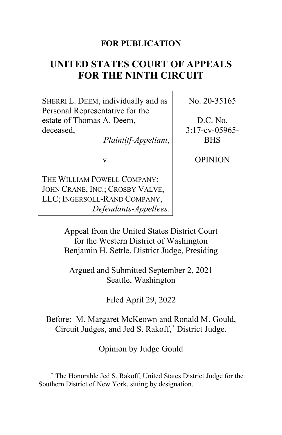## **FOR PUBLICATION**

# **UNITED STATES COURT OF APPEALS FOR THE NINTH CIRCUIT**

SHERRI L. DEEM, individually and as Personal Representative for the estate of Thomas A. Deem, deceased,

*Plaintiff-Appellant*,

v.

THE WILLIAM POWELL COMPANY; JOHN CRANE, INC.; CROSBY VALVE, LLC; INGERSOLL-RAND COMPANY, *Defendants-Appellees.* No. 20-35165

D.C. No. 3:17-cv-05965- BHS

OPINION

Appeal from the United States District Court for the Western District of Washington Benjamin H. Settle, District Judge, Presiding

Argued and Submitted September 2, 2021 Seattle, Washington

Filed April 29, 2022

Before: M. Margaret McKeown and Ronald M. Gould, Circuit Judges, and Jed S. Rakoff,**[\\*](#page-0-0)** District Judge.

Opinion by Judge Gould

<span id="page-0-0"></span>**<sup>\*</sup>** The Honorable Jed S. Rakoff, United States District Judge for the Southern District of New York, sitting by designation.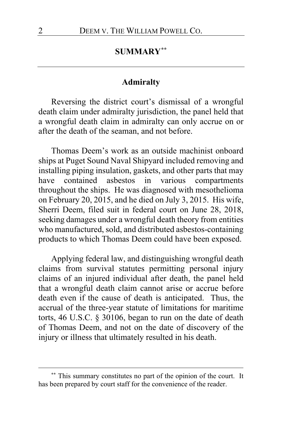## **SUMMARY[\\*\\*](#page-1-0)**

#### **Admiralty**

Reversing the district court's dismissal of a wrongful death claim under admiralty jurisdiction, the panel held that a wrongful death claim in admiralty can only accrue on or after the death of the seaman, and not before.

Thomas Deem's work as an outside machinist onboard ships at Puget Sound Naval Shipyard included removing and installing piping insulation, gaskets, and other parts that may have contained asbestos in various compartments throughout the ships. He was diagnosed with mesothelioma on February 20, 2015, and he died on July 3, 2015. His wife, Sherri Deem, filed suit in federal court on June 28, 2018, seeking damages under a wrongful death theory from entities who manufactured, sold, and distributed asbestos-containing products to which Thomas Deem could have been exposed.

Applying federal law, and distinguishing wrongful death claims from survival statutes permitting personal injury claims of an injured individual after death, the panel held that a wrongful death claim cannot arise or accrue before death even if the cause of death is anticipated. Thus, the accrual of the three-year statute of limitations for maritime torts, 46 U.S.C. § 30106, began to run on the date of death of Thomas Deem, and not on the date of discovery of the injury or illness that ultimately resulted in his death.

<span id="page-1-0"></span>**<sup>\*\*</sup>** This summary constitutes no part of the opinion of the court. It has been prepared by court staff for the convenience of the reader.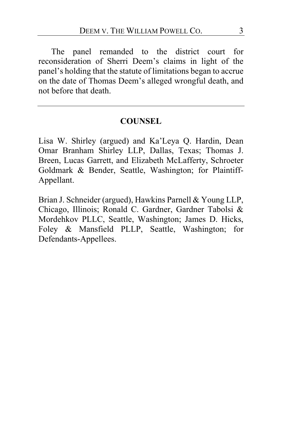The panel remanded to the district court for reconsideration of Sherri Deem's claims in light of the panel's holding that the statute of limitations began to accrue on the date of Thomas Deem's alleged wrongful death, and not before that death.

### **COUNSEL**

Lisa W. Shirley (argued) and Ka'Leya Q. Hardin, Dean Omar Branham Shirley LLP, Dallas, Texas; Thomas J. Breen, Lucas Garrett, and Elizabeth McLafferty, Schroeter Goldmark & Bender, Seattle, Washington; for Plaintiff-Appellant.

Brian J. Schneider (argued), Hawkins Parnell & Young LLP, Chicago, Illinois; Ronald C. Gardner, Gardner Tabolsi & Mordehkov PLLC, Seattle, Washington; James D. Hicks, Foley & Mansfield PLLP, Seattle, Washington; for Defendants-Appellees.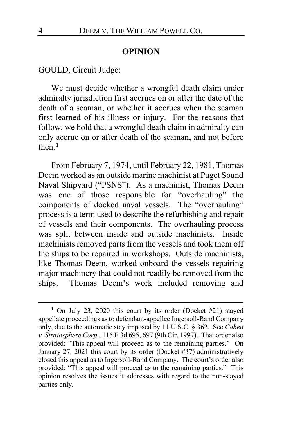#### **OPINION**

GOULD, Circuit Judge:

We must decide whether a wrongful death claim under admiralty jurisdiction first accrues on or after the date of the death of a seaman, or whether it accrues when the seaman first learned of his illness or injury. For the reasons that follow, we hold that a wrongful death claim in admiralty can only accrue on or after death of the seaman, and not before then.**[1](#page-3-0)**

From February 7, 1974, until February 22, 1981, Thomas Deem worked as an outside marine machinist at Puget Sound Naval Shipyard ("PSNS"). As a machinist, Thomas Deem was one of those responsible for "overhauling" the components of docked naval vessels. The "overhauling" process is a term used to describe the refurbishing and repair of vessels and their components. The overhauling process was split between inside and outside machinists. Inside machinists removed parts from the vessels and took them off the ships to be repaired in workshops. Outside machinists, like Thomas Deem, worked onboard the vessels repairing major machinery that could not readily be removed from the ships. Thomas Deem's work included removing and

<span id="page-3-0"></span>**<sup>1</sup>** On July 23, 2020 this court by its order (Docket #21) stayed appellate proceedings as to defendant-appellee Ingersoll-Rand Company only, due to the automatic stay imposed by 11 U.S.C. § 362. See *Cohen v. Stratosphere Corp.*, 115 F.3d 695, 697 (9th Cir. 1997). That order also provided: "This appeal will proceed as to the remaining parties." On January 27, 2021 this court by its order (Docket #37) administratively closed this appeal as to Ingersoll-Rand Company. The court's order also provided: "This appeal will proceed as to the remaining parties." This opinion resolves the issues it addresses with regard to the non-stayed parties only.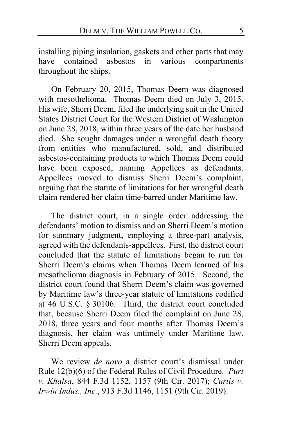installing piping insulation, gaskets and other parts that may have contained asbestos in various compartments throughout the ships.

On February 20, 2015, Thomas Deem was diagnosed with mesothelioma. Thomas Deem died on July 3, 2015. His wife, Sherri Deem, filed the underlying suit in the United States District Court for the Western District of Washington on June 28, 2018, within three years of the date her husband died. She sought damages under a wrongful death theory from entities who manufactured, sold, and distributed asbestos-containing products to which Thomas Deem could have been exposed, naming Appellees as defendants. Appellees moved to dismiss Sherri Deem's complaint, arguing that the statute of limitations for her wrongful death claim rendered her claim time-barred under Maritime law.

The district court, in a single order addressing the defendants' motion to dismiss and on Sherri Deem's motion for summary judgment, employing a three-part analysis, agreed with the defendants-appellees. First, the district court concluded that the statute of limitations began to run for Sherri Deem's claims when Thomas Deem learned of his mesothelioma diagnosis in February of 2015. Second, the district court found that Sherri Deem's claim was governed by Maritime law's three-year statute of limitations codified at 46 U.S.C. § 30106. Third, the district court concluded that, because Sherri Deem filed the complaint on June 28, 2018, three years and four months after Thomas Deem's diagnosis, her claim was untimely under Maritime law. Sherri Deem appeals.

We review *de novo* a district court's dismissal under Rule 12(b)(6) of the Federal Rules of Civil Procedure. *Puri v. Khalsa*, 844 F.3d 1152, 1157 (9th Cir. 2017); *Curtis v. Irwin Indus., Inc.*, 913 F.3d 1146, 1151 (9th Cir. 2019).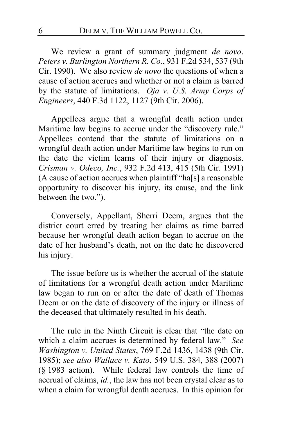We review a grant of summary judgment *de novo*. *Peters v. Burlington Northern R. Co.*, 931 F.2d 534, 537 (9th Cir. 1990). We also review *de novo* the questions of when a cause of action accrues and whether or not a claim is barred by the statute of limitations. *Oja v. U.S. Army Corps of Engineers*, 440 F.3d 1122, 1127 (9th Cir. 2006).

Appellees argue that a wrongful death action under Maritime law begins to accrue under the "discovery rule." Appellees contend that the statute of limitations on a wrongful death action under Maritime law begins to run on the date the victim learns of their injury or diagnosis. *Crisman v. Odeco, Inc.*, 932 F.2d 413, 415 (5th Cir. 1991) (A cause of action accrues when plaintiff "ha[s] a reasonable opportunity to discover his injury, its cause, and the link between the two.").

Conversely, Appellant, Sherri Deem, argues that the district court erred by treating her claims as time barred because her wrongful death action began to accrue on the date of her husband's death, not on the date he discovered his injury.

The issue before us is whether the accrual of the statute of limitations for a wrongful death action under Maritime law began to run on or after the date of death of Thomas Deem or on the date of discovery of the injury or illness of the deceased that ultimately resulted in his death.

The rule in the Ninth Circuit is clear that "the date on which a claim accrues is determined by federal law." *See Washington v. United States*, 769 F.2d 1436, 1438 (9th Cir. 1985); *see also Wallace v. Kato*, 549 U.S. 384, 388 (2007) (§ 1983 action). While federal law controls the time of accrual of claims, *id.*, the law has not been crystal clear as to when a claim for wrongful death accrues. In this opinion for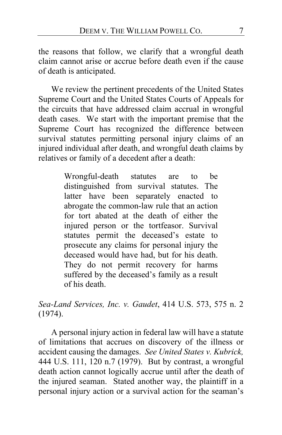the reasons that follow, we clarify that a wrongful death claim cannot arise or accrue before death even if the cause of death is anticipated.

We review the pertinent precedents of the United States Supreme Court and the United States Courts of Appeals for the circuits that have addressed claim accrual in wrongful death cases. We start with the important premise that the Supreme Court has recognized the difference between survival statutes permitting personal injury claims of an injured individual after death, and wrongful death claims by relatives or family of a decedent after a death:

> Wrongful-death statutes are to be distinguished from survival statutes. The latter have been separately enacted to abrogate the common-law rule that an action for tort abated at the death of either the injured person or the tortfeasor. Survival statutes permit the deceased's estate to prosecute any claims for personal injury the deceased would have had, but for his death. They do not permit recovery for harms suffered by the deceased's family as a result of his death.

*Sea-Land Services, Inc. v. Gaudet*, 414 U.S. 573, 575 n. 2 (1974).

A personal injury action in federal law will have a statute of limitations that accrues on discovery of the illness or accident causing the damages. *See United States v. Kubrick,* 444 U.S. 111, 120 n.7 (1979). But by contrast, a wrongful death action cannot logically accrue until after the death of the injured seaman. Stated another way, the plaintiff in a personal injury action or a survival action for the seaman's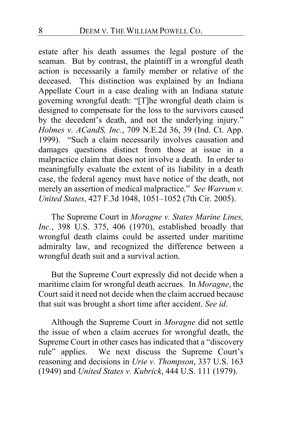estate after his death assumes the legal posture of the seaman. But by contrast, the plaintiff in a wrongful death action is necessarily a family member or relative of the deceased. This distinction was explained by an Indiana Appellate Court in a case dealing with an Indiana statute governing wrongful death: "[T]he wrongful death claim is designed to compensate for the loss to the survivors caused by the decedent's death, and not the underlying injury." *Holmes v. ACandS, Inc.*, 709 N.E.2d 36, 39 (Ind. Ct. App. 1999). "Such a claim necessarily involves causation and damages questions distinct from those at issue in a malpractice claim that does not involve a death. In order to meaningfully evaluate the extent of its liability in a death case, the federal agency must have notice of the death, not merely an assertion of medical malpractice." *See Warrum v. United States*, 427 F.3d 1048, 1051–1052 (7th Cir. 2005).

The Supreme Court in *Moragne v. States Marine Lines, Inc.*, 398 U.S. 375, 406 (1970), established broadly that wrongful death claims could be asserted under maritime admiralty law, and recognized the difference between a wrongful death suit and a survival action.

But the Supreme Court expressly did not decide when a maritime claim for wrongful death accrues. In *Moragne*, the Court said it need not decide when the claim accrued because that suit was brought a short time after accident. *See id*.

Although the Supreme Court in *Moragne* did not settle the issue of when a claim accrues for wrongful death, the Supreme Court in other cases has indicated that a "discovery rule" applies. We next discuss the Supreme Court's reasoning and decisions in *Urie v. Thompson*, 337 U.S. 163 (1949) and *United States v. Kubrick*, 444 U.S. 111 (1979).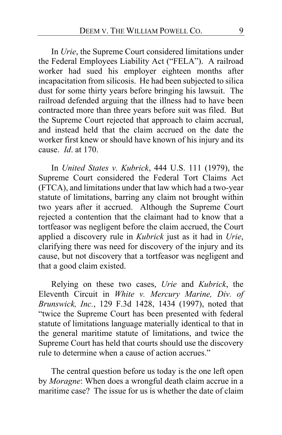In *Urie*, the Supreme Court considered limitations under the Federal Employees Liability Act ("FELA"). A railroad worker had sued his employer eighteen months after incapacitation from silicosis. He had been subjected to silica dust for some thirty years before bringing his lawsuit. The railroad defended arguing that the illness had to have been contracted more than three years before suit was filed. But the Supreme Court rejected that approach to claim accrual, and instead held that the claim accrued on the date the worker first knew or should have known of his injury and its cause. *Id*. at 170.

In *United States v. Kubrick*, 444 U.S. 111 (1979), the Supreme Court considered the Federal Tort Claims Act (FTCA), and limitations under that law which had a two-year statute of limitations, barring any claim not brought within two years after it accrued. Although the Supreme Court rejected a contention that the claimant had to know that a tortfeasor was negligent before the claim accrued, the Court applied a discovery rule in *Kubrick* just as it had in *Urie*, clarifying there was need for discovery of the injury and its cause, but not discovery that a tortfeasor was negligent and that a good claim existed.

Relying on these two cases, *Urie* and *Kubrick*, the Eleventh Circuit in *White v. Mercury Marine, Div. of Brunswick, Inc.*, 129 F.3d 1428, 1434 (1997), noted that "twice the Supreme Court has been presented with federal statute of limitations language materially identical to that in the general maritime statute of limitations, and twice the Supreme Court has held that courts should use the discovery rule to determine when a cause of action accrues."

The central question before us today is the one left open by *Moragne*: When does a wrongful death claim accrue in a maritime case? The issue for us is whether the date of claim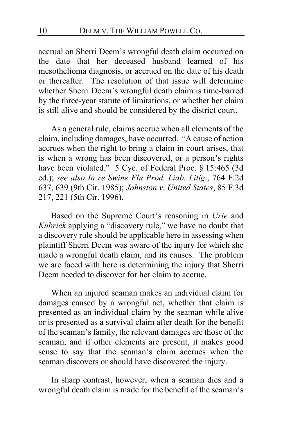accrual on Sherri Deem's wrongful death claim occurred on the date that her deceased husband learned of his mesothelioma diagnosis, or accrued on the date of his death or thereafter. The resolution of that issue will determine whether Sherri Deem's wrongful death claim is time-barred by the three-year statute of limitations, or whether her claim is still alive and should be considered by the district court.

As a general rule, claims accrue when all elements of the claim, including damages, have occurred. "A cause of action accrues when the right to bring a claim in court arises, that is when a wrong has been discovered, or a person's rights have been violated." 5 Cyc. of Federal Proc. § 15:465 (3d ed.); *see also In re Swine Flu Prod. Liab. Litig.*, 764 F.2d 637, 639 (9th Cir. 1985); *Johnston v. United States*, 85 F.3d 217, 221 (5th Cir. 1996).

Based on the Supreme Court's reasoning in *Urie* and *Kubrick* applying a "discovery rule," we have no doubt that a discovery rule should be applicable here in assessing when plaintiff Sherri Deem was aware of the injury for which she made a wrongful death claim, and its causes. The problem we are faced with here is determining the injury that Sherri Deem needed to discover for her claim to accrue.

When an injured seaman makes an individual claim for damages caused by a wrongful act, whether that claim is presented as an individual claim by the seaman while alive or is presented as a survival claim after death for the benefit of the seaman's family, the relevant damages are those of the seaman, and if other elements are present, it makes good sense to say that the seaman's claim accrues when the seaman discovers or should have discovered the injury.

In sharp contrast, however, when a seaman dies and a wrongful death claim is made for the benefit of the seaman's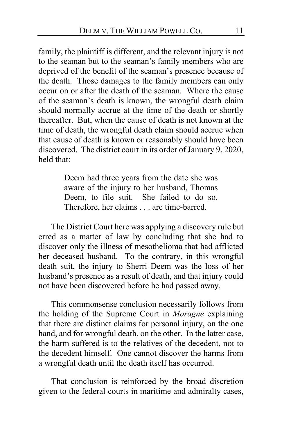family, the plaintiff is different, and the relevant injury is not to the seaman but to the seaman's family members who are deprived of the benefit of the seaman's presence because of the death. Those damages to the family members can only occur on or after the death of the seaman. Where the cause of the seaman's death is known, the wrongful death claim should normally accrue at the time of the death or shortly thereafter. But, when the cause of death is not known at the time of death, the wrongful death claim should accrue when that cause of death is known or reasonably should have been discovered. The district court in its order of January 9, 2020, held that:

> Deem had three years from the date she was aware of the injury to her husband, Thomas Deem, to file suit. She failed to do so. Therefore, her claims . . . are time-barred.

The District Court here was applying a discovery rule but erred as a matter of law by concluding that she had to discover only the illness of mesothelioma that had afflicted her deceased husband. To the contrary, in this wrongful death suit, the injury to Sherri Deem was the loss of her husband's presence as a result of death, and that injury could not have been discovered before he had passed away.

This commonsense conclusion necessarily follows from the holding of the Supreme Court in *Moragne* explaining that there are distinct claims for personal injury, on the one hand, and for wrongful death, on the other. In the latter case, the harm suffered is to the relatives of the decedent, not to the decedent himself. One cannot discover the harms from a wrongful death until the death itself has occurred.

That conclusion is reinforced by the broad discretion given to the federal courts in maritime and admiralty cases,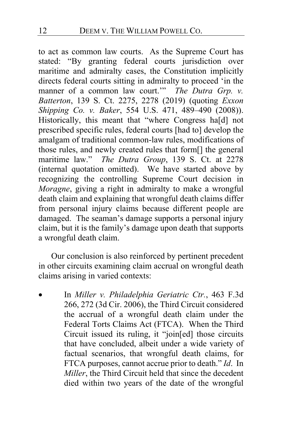to act as common law courts. As the Supreme Court has stated: "By granting federal courts jurisdiction over maritime and admiralty cases, the Constitution implicitly directs federal courts sitting in admiralty to proceed 'in the manner of a common law court."<sup>"</sup> *The Dutra Grp. v. Batterton*, 139 S. Ct. 2275, 2278 (2019) (quoting *Exxon Shipping Co. v. Baker*, 554 U.S. 471, 489–490 (2008)). Historically, this meant that "where Congress ha[d] not prescribed specific rules, federal courts [had to] develop the amalgam of traditional common-law rules, modifications of those rules, and newly created rules that form[] the general maritime law." *The Dutra Group*, 139 S. Ct. at 2278 (internal quotation omitted). We have started above by recognizing the controlling Supreme Court decision in *Moragne*, giving a right in admiralty to make a wrongful death claim and explaining that wrongful death claims differ from personal injury claims because different people are damaged. The seaman's damage supports a personal injury claim, but it is the family's damage upon death that supports a wrongful death claim.

Our conclusion is also reinforced by pertinent precedent in other circuits examining claim accrual on wrongful death claims arising in varied contexts:

• In *Miller v. Philadelphia Geriatric Ctr.*, 463 F.3d 266, 272 (3d Cir. 2006), the Third Circuit considered the accrual of a wrongful death claim under the Federal Torts Claims Act (FTCA). When the Third Circuit issued its ruling, it "join[ed] those circuits that have concluded, albeit under a wide variety of factual scenarios, that wrongful death claims, for FTCA purposes, cannot accrue prior to death." *Id*. In *Miller*, the Third Circuit held that since the decedent died within two years of the date of the wrongful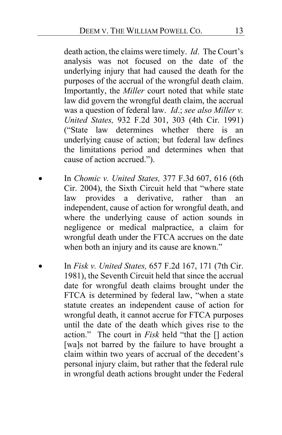death action, the claims were timely. *Id*. The Court's analysis was not focused on the date of the underlying injury that had caused the death for the purposes of the accrual of the wrongful death claim. Importantly, the *Miller* court noted that while state law did govern the wrongful death claim, the accrual was a question of federal law. *Id*.; *see also Miller v. United States,* 932 F.2d 301, 303 (4th Cir. 1991) ("State law determines whether there is an underlying cause of action; but federal law defines the limitations period and determines when that cause of action accrued.").

- In *Chomic v. United States,* 377 F.3d 607, 616 (6th Cir. 2004), the Sixth Circuit held that "where state law provides a derivative, rather than an independent, cause of action for wrongful death, and where the underlying cause of action sounds in negligence or medical malpractice, a claim for wrongful death under the FTCA accrues on the date when both an injury and its cause are known."
- In *Fisk v. United States,* 657 F.2d 167, 171 (7th Cir. 1981), the Seventh Circuit held that since the accrual date for wrongful death claims brought under the FTCA is determined by federal law, "when a state statute creates an independent cause of action for wrongful death, it cannot accrue for FTCA purposes until the date of the death which gives rise to the action." The court in *Fisk* held "that the [] action [wa]s not barred by the failure to have brought a claim within two years of accrual of the decedent's personal injury claim, but rather that the federal rule in wrongful death actions brought under the Federal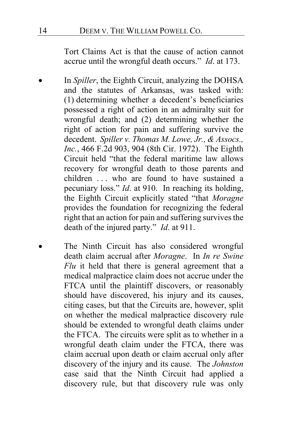Tort Claims Act is that the cause of action cannot accrue until the wrongful death occurs." *Id*. at 173.

- In *Spiller*, the Eighth Circuit, analyzing the DOHSA and the statutes of Arkansas, was tasked with: (1) determining whether a decedent's beneficiaries possessed a right of action in an admiralty suit for wrongful death; and (2) determining whether the right of action for pain and suffering survive the decedent. *Spiller v. Thomas M. Lowe, Jr., & Assocs., Inc.*, 466 F.2d 903, 904 (8th Cir. 1972). The Eighth Circuit held "that the federal maritime law allows recovery for wrongful death to those parents and children ... who are found to have sustained a pecuniary loss." *Id*. at 910. In reaching its holding, the Eighth Circuit explicitly stated "that *Moragne* provides the foundation for recognizing the federal right that an action for pain and suffering survives the death of the injured party." *Id*. at 911.
- The Ninth Circuit has also considered wrongful death claim accrual after *Moragne*. In *In re Swine Flu* it held that there is general agreement that a medical malpractice claim does not accrue under the FTCA until the plaintiff discovers, or reasonably should have discovered, his injury and its causes, citing cases, but that the Circuits are, however, split on whether the medical malpractice discovery rule should be extended to wrongful death claims under the FTCA. The circuits were split as to whether in a wrongful death claim under the FTCA, there was claim accrual upon death or claim accrual only after discovery of the injury and its cause. The *Johnston* case said that the Ninth Circuit had applied a discovery rule, but that discovery rule was only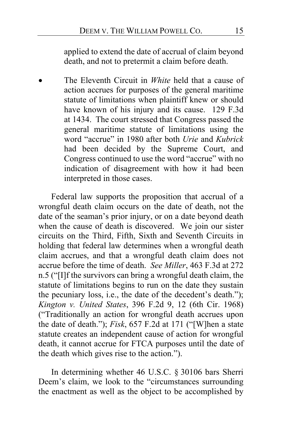applied to extend the date of accrual of claim beyond death, and not to pretermit a claim before death.

• The Eleventh Circuit in *White* held that a cause of action accrues for purposes of the general maritime statute of limitations when plaintiff knew or should have known of his injury and its cause. 129 F.3d at 1434. The court stressed that Congress passed the general maritime statute of limitations using the word "accrue" in 1980 after both *Urie* and *Kubrick* had been decided by the Supreme Court, and Congress continued to use the word "accrue" with no indication of disagreement with how it had been interpreted in those cases.

Federal law supports the proposition that accrual of a wrongful death claim occurs on the date of death, not the date of the seaman's prior injury, or on a date beyond death when the cause of death is discovered. We join our sister circuits on the Third, Fifth, Sixth and Seventh Circuits in holding that federal law determines when a wrongful death claim accrues, and that a wrongful death claim does not accrue before the time of death. *See Miller*, 463 F.3d at 272 n.5 ("[I]f the survivors can bring a wrongful death claim, the statute of limitations begins to run on the date they sustain the pecuniary loss, i.e., the date of the decedent's death."); *Kington v. United States*, 396 F.2d 9, 12 (6th Cir. 1968) ("Traditionally an action for wrongful death accrues upon the date of death."); *Fisk*, 657 F.2d at 171 ("[W]hen a state statute creates an independent cause of action for wrongful death, it cannot accrue for FTCA purposes until the date of the death which gives rise to the action.").

In determining whether 46 U.S.C. § 30106 bars Sherri Deem's claim, we look to the "circumstances surrounding the enactment as well as the object to be accomplished by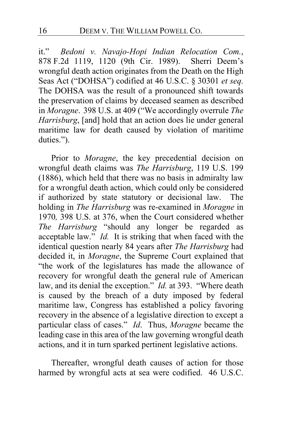it." *Bedoni v. Navajo-Hopi Indian Relocation Com.*, 878 F.2d 1119, 1120 (9th Cir. 1989). Sherri Deem's wrongful death action originates from the Death on the High Seas Act ("DOHSA") codified at 46 U.S.C. § 30301 *et seq.* The DOHSA was the result of a pronounced shift towards the preservation of claims by deceased seamen as described in *Moragne*. 398 U.S. at 409 ("We accordingly overrule *The Harrisburg*, [and] hold that an action does lie under general maritime law for death caused by violation of maritime duties.").

Prior to *Moragne*, the key precedential decision on wrongful death claims was *The Harrisburg*, 119 U.S. 199 (1886), which held that there was no basis in admiralty law for a wrongful death action, which could only be considered if authorized by state statutory or decisional law. The holding in *The Harrisburg* was re-examined in *Moragne* in 1970*,* 398 U.S. at 376, when the Court considered whether *The Harrisburg* "should any longer be regarded as acceptable law." *Id.* It is striking that when faced with the identical question nearly 84 years after *The Harrisburg* had decided it, in *Moragne*, the Supreme Court explained that "the work of the legislatures has made the allowance of recovery for wrongful death the general rule of American law, and its denial the exception." *Id.* at 393. "Where death is caused by the breach of a duty imposed by federal maritime law, Congress has established a policy favoring recovery in the absence of a legislative direction to except a particular class of cases." *Id*. Thus, *Moragne* became the leading case in this area of the law governing wrongful death actions, and it in turn sparked pertinent legislative actions.

Thereafter, wrongful death causes of action for those harmed by wrongful acts at sea were codified. 46 U.S.C.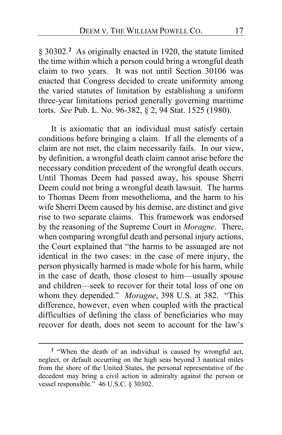§ 3030[2](#page-16-0).<sup>2</sup> As originally enacted in 1920, the statute limited the time within which a person could bring a wrongful death claim to two years. It was not until Section 30106 was enacted that Congress decided to create uniformity among the varied statutes of limitation by establishing a uniform three-year limitations period generally governing maritime torts. *See* Pub. L. No. 96-382, § 2, 94 Stat. 1525 (1980).

It is axiomatic that an individual must satisfy certain conditions before bringing a claim. If all the elements of a claim are not met, the claim necessarily fails. In our view, by definition, a wrongful death claim cannot arise before the necessary condition precedent of the wrongful death occurs. Until Thomas Deem had passed away, his spouse Sherri Deem could not bring a wrongful death lawsuit. The harms to Thomas Deem from mesothelioma, and the harm to his wife Sherri Deem caused by his demise, are distinct and give rise to two separate claims. This framework was endorsed by the reasoning of the Supreme Court in *Moragne*. There, when comparing wrongful death and personal injury actions, the Court explained that "the harms to be assuaged are not identical in the two cases: in the case of mere injury, the person physically harmed is made whole for his harm, while in the case of death, those closest to him—usually spouse and children—seek to recover for their total loss of one on whom they depended." *Moragne*, 398 U.S. at 382. "This difference, however, even when coupled with the practical difficulties of defining the class of beneficiaries who may recover for death, does not seem to account for the law's

<span id="page-16-0"></span>**<sup>2</sup>** "When the death of an individual is caused by wrongful act, neglect, or default occurring on the high seas beyond 3 nautical miles from the shore of the United States, the personal representative of the decedent may bring a civil action in admiralty against the person or vessel responsible." 46 U.S.C. § 30302.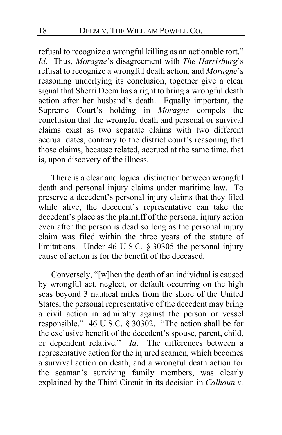refusal to recognize a wrongful killing as an actionable tort." *Id*. Thus, *Moragne*'s disagreement with *The Harrisburg*'s refusal to recognize a wrongful death action, and *Moragne*'s reasoning underlying its conclusion, together give a clear signal that Sherri Deem has a right to bring a wrongful death action after her husband's death. Equally important, the Supreme Court's holding in *Moragne* compels the conclusion that the wrongful death and personal or survival claims exist as two separate claims with two different accrual dates, contrary to the district court's reasoning that those claims, because related, accrued at the same time, that is, upon discovery of the illness.

There is a clear and logical distinction between wrongful death and personal injury claims under maritime law. To preserve a decedent's personal injury claims that they filed while alive, the decedent's representative can take the decedent's place as the plaintiff of the personal injury action even after the person is dead so long as the personal injury claim was filed within the three years of the statute of limitations. Under 46 U.S.C. § 30305 the personal injury cause of action is for the benefit of the deceased.

Conversely, "[w]hen the death of an individual is caused by wrongful act, neglect, or default occurring on the high seas beyond 3 nautical miles from the shore of the United States, the personal representative of the decedent may bring a civil action in admiralty against the person or vessel responsible." 46 U.S.C. § 30302. "The action shall be for the exclusive benefit of the decedent's spouse, parent, child, or dependent relative." *Id*. The differences between a representative action for the injured seamen, which becomes a survival action on death, and a wrongful death action for the seaman's surviving family members, was clearly explained by the Third Circuit in its decision in *Calhoun v.*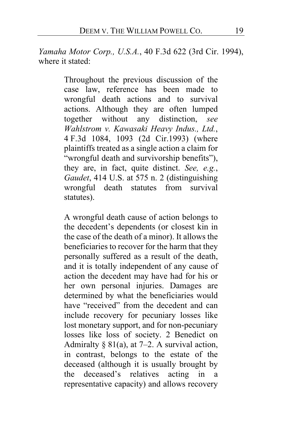*Yamaha Motor Corp., U.S.A.*, 40 F.3d 622 (3rd Cir. 1994), where it stated:

> Throughout the previous discussion of the case law, reference has been made to wrongful death actions and to survival actions. Although they are often lumped together without any distinction, *see Wahlstrom v. Kawasaki Heavy Indus., Ltd.*, 4 F.3d 1084, 1093 (2d Cir.1993) (where plaintiffs treated as a single action a claim for "wrongful death and survivorship benefits"), they are, in fact, quite distinct. *See, e.g.*, *Gaudet*, 414 U.S. at 575 n. 2 (distinguishing wrongful death statutes from survival statutes).

> A wrongful death cause of action belongs to the decedent's dependents (or closest kin in the case of the death of a minor). It allows the beneficiaries to recover for the harm that they personally suffered as a result of the death, and it is totally independent of any cause of action the decedent may have had for his or her own personal injuries. Damages are determined by what the beneficiaries would have "received" from the decedent and can include recovery for pecuniary losses like lost monetary support, and for non-pecuniary losses like loss of society. 2 Benedict on Admiralty  $\S 81(a)$ , at 7–2. A survival action, in contrast, belongs to the estate of the deceased (although it is usually brought by the deceased's relatives acting in a representative capacity) and allows recovery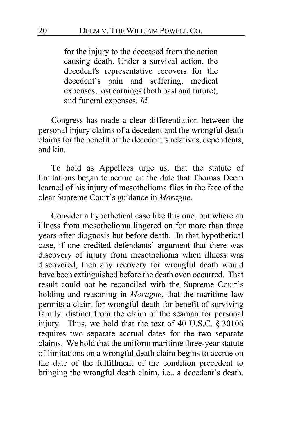for the injury to the deceased from the action causing death. Under a survival action, the decedent's representative recovers for the decedent's pain and suffering, medical expenses, lost earnings (both past and future), and funeral expenses. *Id.*

Congress has made a clear differentiation between the personal injury claims of a decedent and the wrongful death claims for the benefit of the decedent's relatives, dependents, and kin.

To hold as Appellees urge us, that the statute of limitations began to accrue on the date that Thomas Deem learned of his injury of mesothelioma flies in the face of the clear Supreme Court's guidance in *Moragne*.

Consider a hypothetical case like this one, but where an illness from mesothelioma lingered on for more than three years after diagnosis but before death. In that hypothetical case, if one credited defendants' argument that there was discovery of injury from mesothelioma when illness was discovered, then any recovery for wrongful death would have been extinguished before the death even occurred. That result could not be reconciled with the Supreme Court's holding and reasoning in *Moragne*, that the maritime law permits a claim for wrongful death for benefit of surviving family, distinct from the claim of the seaman for personal injury. Thus, we hold that the text of 40 U.S.C. § 30106 requires two separate accrual dates for the two separate claims. We hold that the uniform maritime three-year statute of limitations on a wrongful death claim begins to accrue on the date of the fulfillment of the condition precedent to bringing the wrongful death claim, i.e., a decedent's death.